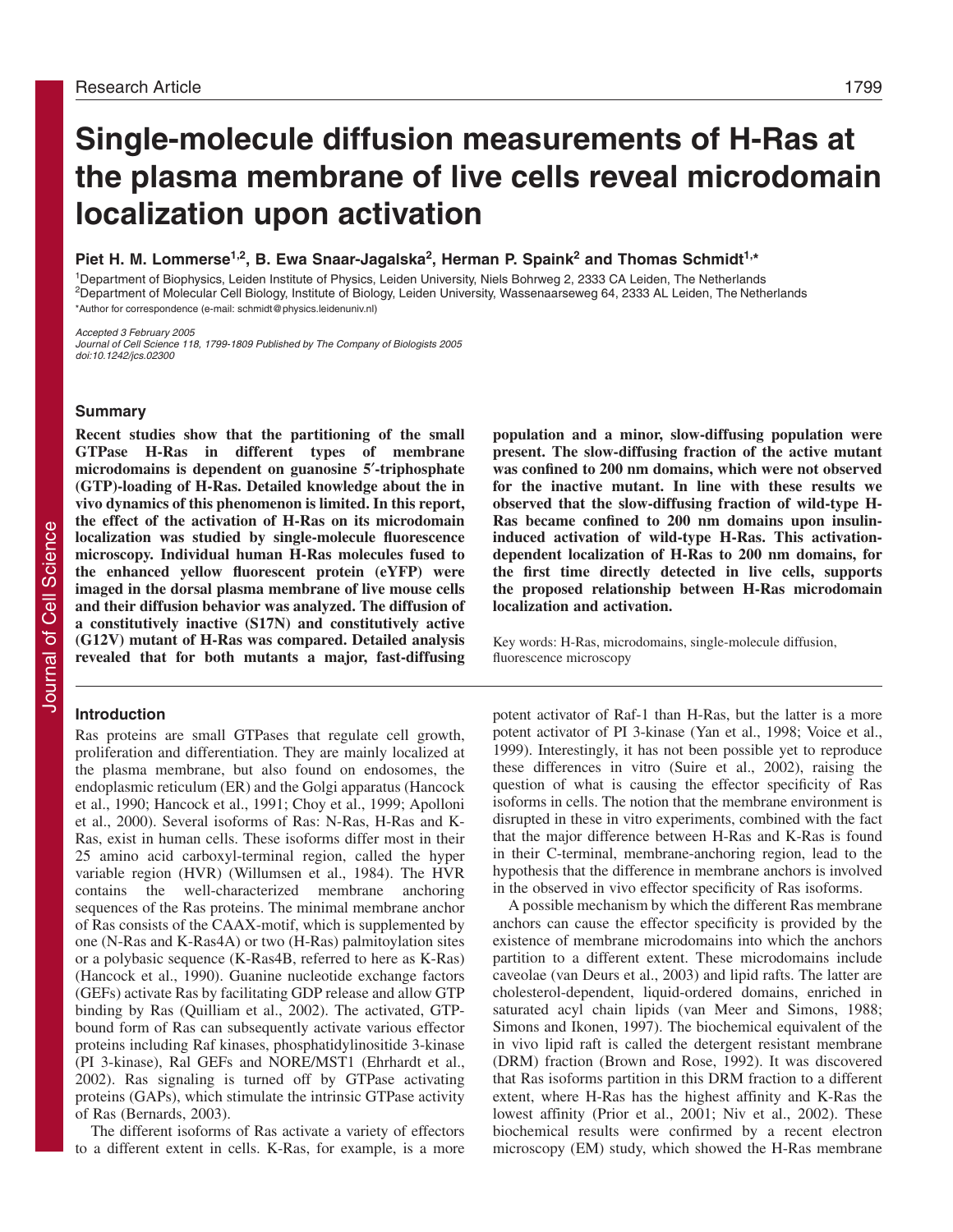# **Single-molecule diffusion measurements of H-Ras at the plasma membrane of live cells reveal microdomain localization upon activation**

Piet H. M. Lommerse<sup>1,2</sup>, B. Ewa Snaar-Jagalska<sup>2</sup>, Herman P. Spaink<sup>2</sup> and Thomas Schmidt<sup>1,\*</sup>

1Department of Biophysics, Leiden Institute of Physics, Leiden University, Niels Bohrweg 2, 2333 CA Leiden, The Netherlands 2Department of Molecular Cell Biology, Institute of Biology, Leiden University, Wassenaarseweg 64, 2333 AL Leiden, The Netherlands \*Author for correspondence (e-mail: schmidt@physics.leidenuniv.nl)

Accepted 3 February 2005

Journal of Cell Science 118, 1799-1809 Published by The Company of Biologists 2005 doi:10.1242/jcs.02300

# **Summary**

**Recent studies show that the partitioning of the small GTPase H-Ras in different types of membrane microdomains is dependent on guanosine 5**′**-triphosphate (GTP)-loading of H-Ras. Detailed knowledge about the in vivo dynamics of this phenomenon is limited. In this report, the effect of the activation of H-Ras on its microdomain localization was studied by single-molecule fluorescence microscopy. Individual human H-Ras molecules fused to the enhanced yellow fluorescent protein (eYFP) were imaged in the dorsal plasma membrane of live mouse cells and their diffusion behavior was analyzed. The diffusion of a constitutively inactive (S17N) and constitutively active (G12V) mutant of H-Ras was compared. Detailed analysis revealed that for both mutants a major, fast-diffusing**

#### **Introduction**

Ras proteins are small GTPases that regulate cell growth, proliferation and differentiation. They are mainly localized at the plasma membrane, but also found on endosomes, the endoplasmic reticulum (ER) and the Golgi apparatus (Hancock et al., 1990; Hancock et al., 1991; Choy et al., 1999; Apolloni et al., 2000). Several isoforms of Ras: N-Ras, H-Ras and K-Ras, exist in human cells. These isoforms differ most in their 25 amino acid carboxyl-terminal region, called the hyper variable region (HVR) (Willumsen et al., 1984). The HVR contains the well-characterized membrane anchoring sequences of the Ras proteins. The minimal membrane anchor of Ras consists of the CAAX-motif, which is supplemented by one (N-Ras and K-Ras4A) or two (H-Ras) palmitoylation sites or a polybasic sequence (K-Ras4B, referred to here as K-Ras) (Hancock et al., 1990). Guanine nucleotide exchange factors (GEFs) activate Ras by facilitating GDP release and allow GTP binding by Ras (Quilliam et al., 2002). The activated, GTPbound form of Ras can subsequently activate various effector proteins including Raf kinases, phosphatidylinositide 3-kinase (PI 3-kinase), Ral GEFs and NORE/MST1 (Ehrhardt et al., 2002). Ras signaling is turned off by GTPase activating proteins (GAPs), which stimulate the intrinsic GTPase activity of Ras (Bernards, 2003).

The different isoforms of Ras activate a variety of effectors to a different extent in cells. K-Ras, for example, is a more

**population and a minor, slow-diffusing population were present. The slow-diffusing fraction of the active mutant was confined to 200 nm domains, which were not observed for the inactive mutant. In line with these results we observed that the slow-diffusing fraction of wild-type H-Ras became confined to 200 nm domains upon insulininduced activation of wild-type H-Ras. This activationdependent localization of H-Ras to 200 nm domains, for the first time directly detected in live cells, supports the proposed relationship between H-Ras microdomain localization and activation.**

Key words: H-Ras, microdomains, single-molecule diffusion, fluorescence microscopy

potent activator of Raf-1 than H-Ras, but the latter is a more potent activator of PI 3-kinase (Yan et al., 1998; Voice et al., 1999). Interestingly, it has not been possible yet to reproduce these differences in vitro (Suire et al., 2002), raising the question of what is causing the effector specificity of Ras isoforms in cells. The notion that the membrane environment is disrupted in these in vitro experiments, combined with the fact that the major difference between H-Ras and K-Ras is found in their C-terminal, membrane-anchoring region, lead to the hypothesis that the difference in membrane anchors is involved in the observed in vivo effector specificity of Ras isoforms.

A possible mechanism by which the different Ras membrane anchors can cause the effector specificity is provided by the existence of membrane microdomains into which the anchors partition to a different extent. These microdomains include caveolae (van Deurs et al., 2003) and lipid rafts. The latter are cholesterol-dependent, liquid-ordered domains, enriched in saturated acyl chain lipids (van Meer and Simons, 1988; Simons and Ikonen, 1997). The biochemical equivalent of the in vivo lipid raft is called the detergent resistant membrane (DRM) fraction (Brown and Rose, 1992). It was discovered that Ras isoforms partition in this DRM fraction to a different extent, where H-Ras has the highest affinity and K-Ras the lowest affinity (Prior et al., 2001; Niv et al., 2002). These biochemical results were confirmed by a recent electron microscopy (EM) study, which showed the H-Ras membrane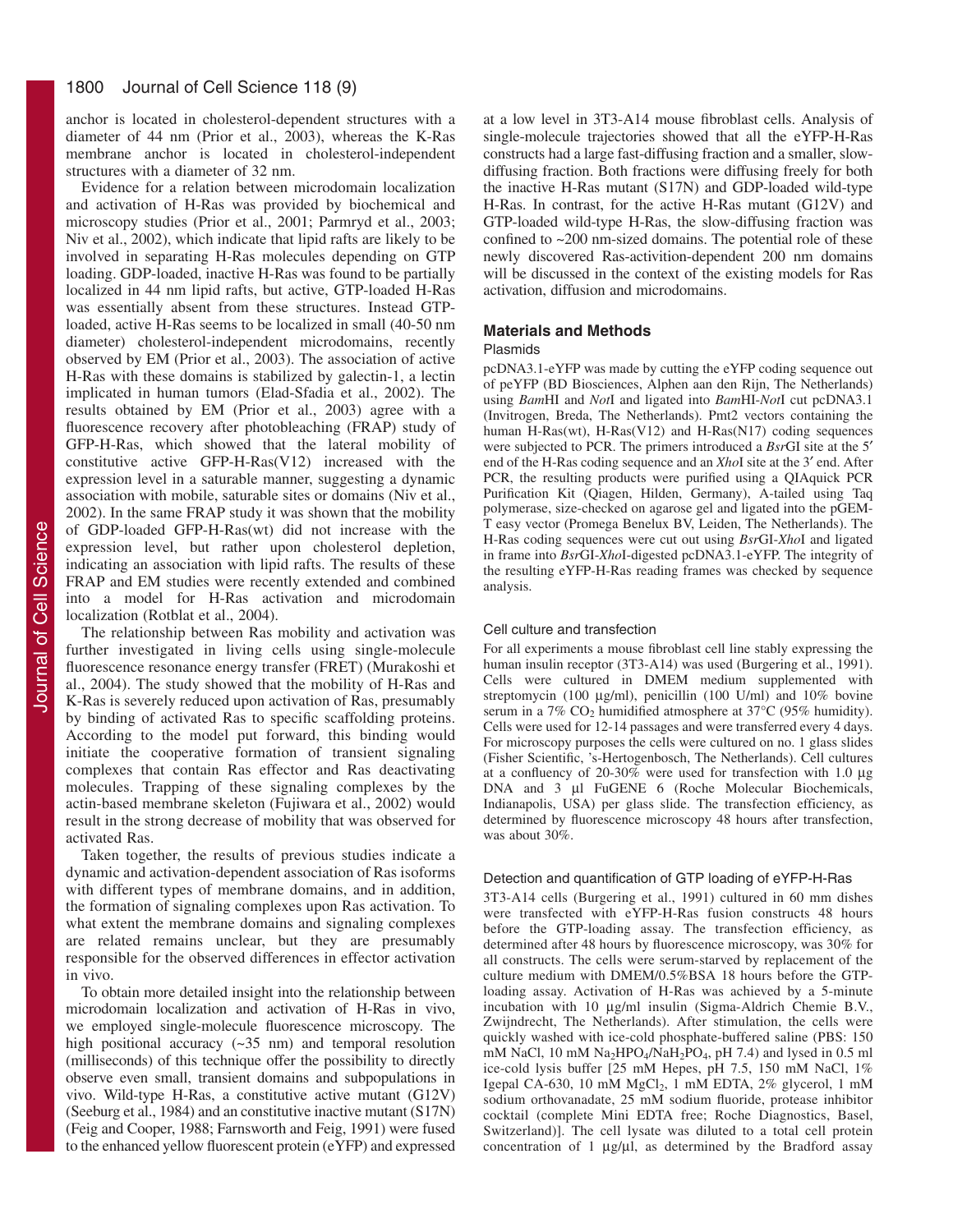anchor is located in cholesterol-dependent structures with a diameter of 44 nm (Prior et al., 2003), whereas the K-Ras membrane anchor is located in cholesterol-independent structures with a diameter of 32 nm.

Evidence for a relation between microdomain localization and activation of H-Ras was provided by biochemical and microscopy studies (Prior et al., 2001; Parmryd et al., 2003; Niv et al., 2002), which indicate that lipid rafts are likely to be involved in separating H-Ras molecules depending on GTP loading. GDP-loaded, inactive H-Ras was found to be partially localized in 44 nm lipid rafts, but active, GTP-loaded H-Ras was essentially absent from these structures. Instead GTPloaded, active H-Ras seems to be localized in small (40-50 nm diameter) cholesterol-independent microdomains, recently observed by EM (Prior et al., 2003). The association of active H-Ras with these domains is stabilized by galectin-1, a lectin implicated in human tumors (Elad-Sfadia et al., 2002). The results obtained by EM (Prior et al., 2003) agree with a fluorescence recovery after photobleaching (FRAP) study of GFP-H-Ras, which showed that the lateral mobility of constitutive active GFP-H-Ras(V12) increased with the expression level in a saturable manner, suggesting a dynamic association with mobile, saturable sites or domains (Niv et al., 2002). In the same FRAP study it was shown that the mobility of GDP-loaded GFP-H-Ras(wt) did not increase with the expression level, but rather upon cholesterol depletion, indicating an association with lipid rafts. The results of these FRAP and EM studies were recently extended and combined into a model for H-Ras activation and microdomain localization (Rotblat et al., 2004).

The relationship between Ras mobility and activation was further investigated in living cells using single-molecule fluorescence resonance energy transfer (FRET) (Murakoshi et al., 2004). The study showed that the mobility of H-Ras and K-Ras is severely reduced upon activation of Ras, presumably by binding of activated Ras to specific scaffolding proteins. According to the model put forward, this binding would initiate the cooperative formation of transient signaling complexes that contain Ras effector and Ras deactivating molecules. Trapping of these signaling complexes by the actin-based membrane skeleton (Fujiwara et al., 2002) would result in the strong decrease of mobility that was observed for activated Ras.

Taken together, the results of previous studies indicate a dynamic and activation-dependent association of Ras isoforms with different types of membrane domains, and in addition, the formation of signaling complexes upon Ras activation. To what extent the membrane domains and signaling complexes are related remains unclear, but they are presumably responsible for the observed differences in effector activation in vivo.

To obtain more detailed insight into the relationship between microdomain localization and activation of H-Ras in vivo, we employed single-molecule fluorescence microscopy. The high positional accuracy (~35 nm) and temporal resolution (milliseconds) of this technique offer the possibility to directly observe even small, transient domains and subpopulations in vivo. Wild-type H-Ras, a constitutive active mutant (G12V) (Seeburg et al., 1984) and an constitutive inactive mutant (S17N) (Feig and Cooper, 1988; Farnsworth and Feig, 1991) were fused to the enhanced yellow fluorescent protein (eYFP) and expressed at a low level in 3T3-A14 mouse fibroblast cells. Analysis of single-molecule trajectories showed that all the eYFP-H-Ras constructs had a large fast-diffusing fraction and a smaller, slowdiffusing fraction. Both fractions were diffusing freely for both the inactive H-Ras mutant (S17N) and GDP-loaded wild-type H-Ras. In contrast, for the active H-Ras mutant (G12V) and GTP-loaded wild-type H-Ras, the slow-diffusing fraction was confined to ~200 nm-sized domains. The potential role of these newly discovered Ras-activition-dependent 200 nm domains will be discussed in the context of the existing models for Ras activation, diffusion and microdomains.

### **Materials and Methods**

### Plasmids

pcDNA3.1-eYFP was made by cutting the eYFP coding sequence out of peYFP (BD Biosciences, Alphen aan den Rijn, The Netherlands) using *Bam*HI and *Not*I and ligated into *Bam*HI-*Not*I cut pcDNA3.1 (Invitrogen, Breda, The Netherlands). Pmt2 vectors containing the human H-Ras(wt), H-Ras(V12) and H-Ras(N17) coding sequences were subjected to PCR. The primers introduced a *Bsr*GI site at the 5′ end of the H-Ras coding sequence and an *Xho*I site at the 3′ end. After PCR, the resulting products were purified using a QIAquick PCR Purification Kit (Qiagen, Hilden, Germany), A-tailed using Taq polymerase, size-checked on agarose gel and ligated into the pGEM-T easy vector (Promega Benelux BV, Leiden, The Netherlands). The H-Ras coding sequences were cut out using *Bsr*GI-*Xho*I and ligated in frame into *Bsr*GI-*Xho*I-digested pcDNA3.1-eYFP. The integrity of the resulting eYFP-H-Ras reading frames was checked by sequence analysis.

#### Cell culture and transfection

For all experiments a mouse fibroblast cell line stably expressing the human insulin receptor (3T3-A14) was used (Burgering et al., 1991). Cells were cultured in DMEM medium supplemented with streptomycin (100 µg/ml), penicillin (100 U/ml) and 10% bovine serum in a 7% CO<sub>2</sub> humidified atmosphere at 37°C (95% humidity). Cells were used for 12-14 passages and were transferred every 4 days. For microscopy purposes the cells were cultured on no. 1 glass slides (Fisher Scientific, 's-Hertogenbosch, The Netherlands). Cell cultures at a confluency of 20-30% were used for transfection with 1.0 µg DNA and 3 µl FuGENE 6 (Roche Molecular Biochemicals, Indianapolis, USA) per glass slide. The transfection efficiency, as determined by fluorescence microscopy 48 hours after transfection, was about 30%.

#### Detection and quantification of GTP loading of eYFP-H-Ras

3T3-A14 cells (Burgering et al., 1991) cultured in 60 mm dishes were transfected with eYFP-H-Ras fusion constructs 48 hours before the GTP-loading assay. The transfection efficiency, as determined after 48 hours by fluorescence microscopy, was 30% for all constructs. The cells were serum-starved by replacement of the culture medium with DMEM/0.5%BSA 18 hours before the GTPloading assay. Activation of H-Ras was achieved by a 5-minute incubation with 10 µg/ml insulin (Sigma-Aldrich Chemie B.V., Zwijndrecht, The Netherlands). After stimulation, the cells were quickly washed with ice-cold phosphate-buffered saline (PBS: 150 mM NaCl, 10 mM Na<sub>2</sub>HPO<sub>4</sub>/NaH<sub>2</sub>PO<sub>4</sub>, pH 7.4) and lysed in 0.5 ml ice-cold lysis buffer [25 mM Hepes, pH 7.5, 150 mM NaCl, 1% Igepal CA-630, 10 mM  $MgCl<sub>2</sub>$ , 1 mM EDTA, 2% glycerol, 1 mM sodium orthovanadate, 25 mM sodium fluoride, protease inhibitor cocktail (complete Mini EDTA free; Roche Diagnostics, Basel, Switzerland)]. The cell lysate was diluted to a total cell protein concentration of 1  $\mu$ g/ $\mu$ l, as determined by the Bradford assay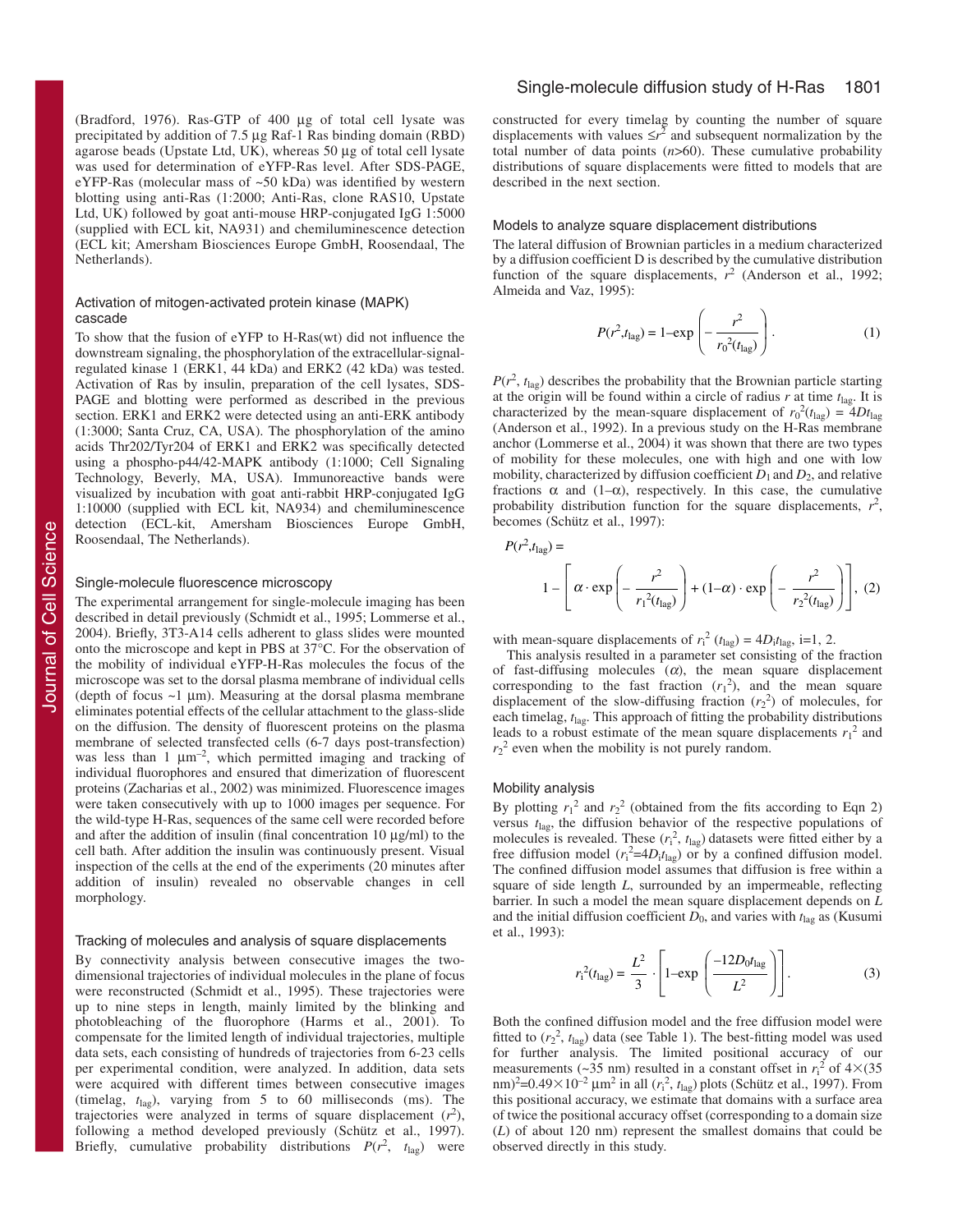(Bradford, 1976). Ras-GTP of 400 µg of total cell lysate was precipitated by addition of 7.5 µg Raf-1 Ras binding domain (RBD) agarose beads (Upstate Ltd, UK), whereas 50 µg of total cell lysate was used for determination of eYFP-Ras level. After SDS-PAGE, eYFP-Ras (molecular mass of ~50 kDa) was identified by western blotting using anti-Ras (1:2000; Anti-Ras, clone RAS10, Upstate Ltd, UK) followed by goat anti-mouse HRP-conjugated IgG 1:5000 (supplied with ECL kit, NA931) and chemiluminescence detection (ECL kit; Amersham Biosciences Europe GmbH, Roosendaal, The Netherlands).

#### Activation of mitogen-activated protein kinase (MAPK) cascade

To show that the fusion of eYFP to H-Ras(wt) did not influence the downstream signaling, the phosphorylation of the extracellular-signalregulated kinase 1 (ERK1, 44 kDa) and ERK2 (42 kDa) was tested. Activation of Ras by insulin, preparation of the cell lysates, SDS-PAGE and blotting were performed as described in the previous section. ERK1 and ERK2 were detected using an anti-ERK antibody (1:3000; Santa Cruz, CA, USA). The phosphorylation of the amino acids Thr202/Tyr204 of ERK1 and ERK2 was specifically detected using a phospho-p44/42-MAPK antibody (1:1000; Cell Signaling Technology, Beverly, MA, USA). Immunoreactive bands were visualized by incubation with goat anti-rabbit HRP-conjugated IgG 1:10000 (supplied with ECL kit, NA934) and chemiluminescence detection (ECL-kit, Amersham Biosciences Europe GmbH, Roosendaal, The Netherlands).

#### Single-molecule fluorescence microscopy

The experimental arrangement for single-molecule imaging has been described in detail previously (Schmidt et al., 1995; Lommerse et al., 2004). Briefly, 3T3-A14 cells adherent to glass slides were mounted onto the microscope and kept in PBS at 37°C. For the observation of the mobility of individual eYFP-H-Ras molecules the focus of the microscope was set to the dorsal plasma membrane of individual cells (depth of focus  $\sim$ 1 µm). Measuring at the dorsal plasma membrane eliminates potential effects of the cellular attachment to the glass-slide on the diffusion. The density of fluorescent proteins on the plasma membrane of selected transfected cells (6-7 days post-transfection) was less than 1  $\mu$ m<sup>-2</sup>, which permitted imaging and tracking of individual fluorophores and ensured that dimerization of fluorescent proteins (Zacharias et al., 2002) was minimized. Fluorescence images were taken consecutively with up to 1000 images per sequence. For the wild-type H-Ras, sequences of the same cell were recorded before and after the addition of insulin (final concentration 10 µg/ml) to the cell bath. After addition the insulin was continuously present. Visual inspection of the cells at the end of the experiments (20 minutes after addition of insulin) revealed no observable changes in cell morphology.

#### Tracking of molecules and analysis of square displacements

By connectivity analysis between consecutive images the twodimensional trajectories of individual molecules in the plane of focus were reconstructed (Schmidt et al., 1995). These trajectories were up to nine steps in length, mainly limited by the blinking and photobleaching of the fluorophore (Harms et al., 2001). To compensate for the limited length of individual trajectories, multiple data sets, each consisting of hundreds of trajectories from 6-23 cells per experimental condition, were analyzed. In addition, data sets were acquired with different times between consecutive images (timelag,  $t_{\text{las}}$ ), varying from 5 to 60 milliseconds (ms). The trajectories were analyzed in terms of square displacement  $(r^2)$ , following a method developed previously (Schütz et al., 1997). Briefly, cumulative probability distributions  $P(r^2, t_{\text{lag}})$  were

constructed for every timelag by counting the number of square displacements with values  $\leq r^2$  and subsequent normalization by the total number of data points (*n*>60). These cumulative probability distributions of square displacements were fitted to models that are described in the next section.

#### Models to analyze square displacement distributions

The lateral diffusion of Brownian particles in a medium characterized by a diffusion coefficient D is described by the cumulative distribution function of the square displacements,  $r^2$  (Anderson et al., 1992; Almeida and Vaz, 1995):

$$
P(r^2, t_{\text{lag}}) = 1 - \exp\left(-\frac{r^2}{r_0^2(t_{\text{lag}})}\right).
$$
 (1)

 $P(r^2, t_{\text{lag}})$  describes the probability that the Brownian particle starting at the origin will be found within a circle of radius  $r$  at time  $t_{\text{lag}}$ . It is characterized by the mean-square displacement of  $r_0^2(t_{\text{lag}}) = 4Dt_{\text{lag}}$ (Anderson et al., 1992). In a previous study on the H-Ras membrane anchor (Lommerse et al., 2004) it was shown that there are two types of mobility for these molecules, one with high and one with low mobility, characterized by diffusion coefficient  $D_1$  and  $D_2$ , and relative fractions  $\alpha$  and (1– $\alpha$ ), respectively. In this case, the cumulative probability distribution function for the square displacements,  $r^2$ , becomes (Schütz et al., 1997):

$$
P(r^2, t_{\text{lag}}) =
$$
  

$$
1 - \left[\alpha \cdot \exp\left(-\frac{r^2}{r_1^2(t_{\text{lag}})}\right) + (1 - \alpha) \cdot \exp\left(-\frac{r^2}{r_2^2(t_{\text{lag}})}\right)\right], (2)
$$

with mean-square displacements of  $r_i^2$  ( $t_{lag}$ ) =  $4D_i t_{lag}$ , i=1, 2.

This analysis resulted in a parameter set consisting of the fraction of fast-diffusing molecules  $(\alpha)$ , the mean square displacement corresponding to the fast fraction  $(r_1^2)$ , and the mean square displacement of the slow-diffusing fraction  $(r_2^2)$  of molecules, for each timelag,  $t_{\text{lag}}$ . This approach of fitting the probability distributions leads to a robust estimate of the mean square displacements  $r_1^2$  and  $r_2^2$  even when the mobility is not purely random.

#### Mobility analysis

By plotting  $r_1^2$  and  $r_2^2$  (obtained from the fits according to Eqn 2) versus *t*lag, the diffusion behavior of the respective populations of molecules is revealed. These  $(r_i^2, t_{lag})$  datasets were fitted either by a free diffusion model  $(r_i^2=4D_i t_{lag})$  or by a confined diffusion model. The confined diffusion model assumes that diffusion is free within a square of side length *L*, surrounded by an impermeable, reflecting barrier. In such a model the mean square displacement depends on *L* and the initial diffusion coefficient  $D_0$ , and varies with  $t_{\text{lag}}$  as (Kusumi et al., 1993):

$$
r_1^2(t_{\text{lag}}) = \frac{L^2}{3} \cdot \left[ 1 - \exp\left(\frac{-12D_0 t_{\text{lag}}}{L^2}\right) \right].
$$
 (3)

Both the confined diffusion model and the free diffusion model were fitted to  $(r_2^2, t_{\text{lag}})$  data (see Table 1). The best-fitting model was used for further analysis. The limited positional accuracy of our measurements (~35 nm) resulted in a constant offset in  $r_i^2$  of  $4\times$ (35  $\text{mm}$ <sup>2</sup>=0.49×10<sup>-2</sup>  $\mu$ m<sup>2</sup> in all ( $r_i^2$ ,  $t_{\text{lag}}$ ) plots (Schütz et al., 1997). From this positional accuracy, we estimate that domains with a surface area of twice the positional accuracy offset (corresponding to a domain size (*L*) of about 120 nm) represent the smallest domains that could be observed directly in this study.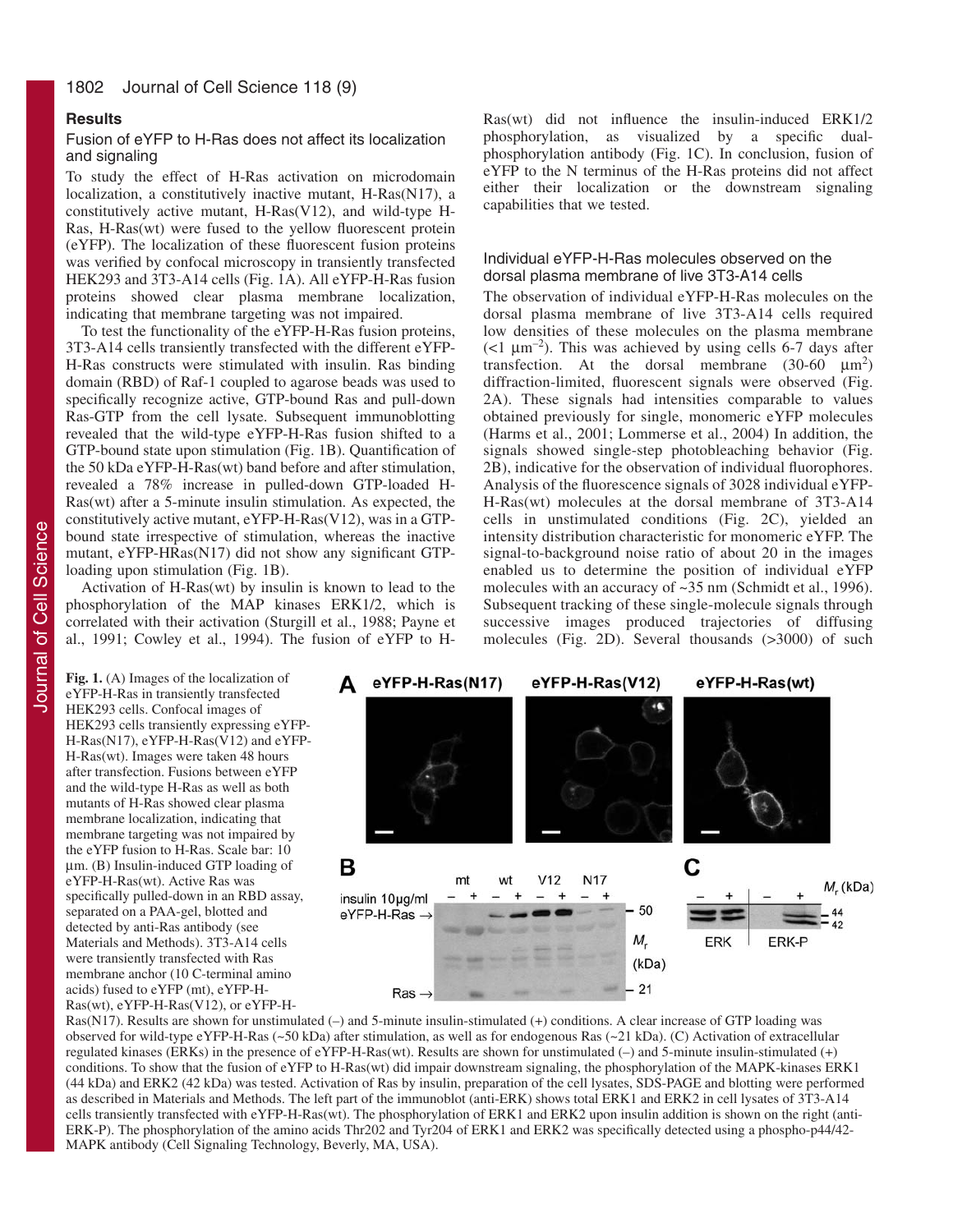# **Results**

# Fusion of eYFP to H-Ras does not affect its localization and signaling

To study the effect of H-Ras activation on microdomain localization, a constitutively inactive mutant, H-Ras(N17), a constitutively active mutant, H-Ras(V12), and wild-type H-Ras, H-Ras(wt) were fused to the yellow fluorescent protein (eYFP). The localization of these fluorescent fusion proteins was verified by confocal microscopy in transiently transfected HEK293 and 3T3-A14 cells (Fig. 1A). All eYFP-H-Ras fusion proteins showed clear plasma membrane localization, indicating that membrane targeting was not impaired.

To test the functionality of the eYFP-H-Ras fusion proteins, 3T3-A14 cells transiently transfected with the different eYFP-H-Ras constructs were stimulated with insulin. Ras binding domain (RBD) of Raf-1 coupled to agarose beads was used to specifically recognize active, GTP-bound Ras and pull-down Ras-GTP from the cell lysate. Subsequent immunoblotting revealed that the wild-type eYFP-H-Ras fusion shifted to a GTP-bound state upon stimulation (Fig. 1B). Quantification of the 50 kDa eYFP-H-Ras(wt) band before and after stimulation, revealed a 78% increase in pulled-down GTP-loaded H-Ras(wt) after a 5-minute insulin stimulation. As expected, the constitutively active mutant, eYFP-H-Ras(V12), was in a GTPbound state irrespective of stimulation, whereas the inactive mutant, eYFP-HRas(N17) did not show any significant GTPloading upon stimulation (Fig. 1B).

Activation of H-Ras(wt) by insulin is known to lead to the phosphorylation of the MAP kinases ERK1/2, which is correlated with their activation (Sturgill et al., 1988; Payne et al., 1991; Cowley et al., 1994). The fusion of eYFP to H-

Ras(wt) did not influence the insulin-induced ERK1/2 phosphorylation, as visualized by a specific dualphosphorylation antibody (Fig. 1C). In conclusion, fusion of eYFP to the N terminus of the H-Ras proteins did not affect either their localization or the downstream signaling capabilities that we tested.

# Individual eYFP-H-Ras molecules observed on the dorsal plasma membrane of live 3T3-A14 cells

The observation of individual eYFP-H-Ras molecules on the dorsal plasma membrane of live 3T3-A14 cells required low densities of these molecules on the plasma membrane ( $\leq 1 \ \mu m^{-2}$ ). This was achieved by using cells 6-7 days after transfection. At the dorsal membrane  $(30-60 \mu m^2)$ diffraction-limited, fluorescent signals were observed (Fig. 2A). These signals had intensities comparable to values obtained previously for single, monomeric eYFP molecules (Harms et al., 2001; Lommerse et al., 2004) In addition, the signals showed single-step photobleaching behavior (Fig. 2B), indicative for the observation of individual fluorophores. Analysis of the fluorescence signals of 3028 individual eYFP-H-Ras(wt) molecules at the dorsal membrane of 3T3-A14 cells in unstimulated conditions (Fig. 2C), yielded an intensity distribution characteristic for monomeric eYFP. The signal-to-background noise ratio of about 20 in the images enabled us to determine the position of individual eYFP molecules with an accuracy of ~35 nm (Schmidt et al., 1996). Subsequent tracking of these single-molecule signals through successive images produced trajectories of diffusing molecules (Fig. 2D). Several thousands (>3000) of such

Fig. 1. (A) Images of the localization of eYFP-H-Ras in transiently transfected HEK293 cells. Confocal images of HEK293 cells transiently expressing eYFP-H-Ras(N17), eYFP-H-Ras(V12) and eYFP-H-Ras(wt). Images were taken 48 hours after transfection. Fusions between eYFP and the wild-type H-Ras as well as both mutants of H-Ras showed clear plasma membrane localization, indicating that membrane targeting was not impaired by the eYFP fusion to H-Ras. Scale bar: 10 µm. (B) Insulin-induced GTP loading of eYFP-H-Ras(wt). Active Ras was specifically pulled-down in an RBD assay, separated on a PAA-gel, blotted and detected by anti-Ras antibody (see Materials and Methods). 3T3-A14 cells were transiently transfected with Ras membrane anchor (10 C-terminal amino acids) fused to eYFP (mt), eYFP-H-Ras(wt), eYFP-H-Ras(V12), or eYFP-H-



Ras(N17). Results are shown for unstimulated (–) and 5-minute insulin-stimulated (+) conditions. A clear increase of GTP loading was observed for wild-type eYFP-H-Ras (~50 kDa) after stimulation, as well as for endogenous Ras (~21 kDa). (C) Activation of extracellular regulated kinases (ERKs) in the presence of eYFP-H-Ras(wt). Results are shown for unstimulated (–) and 5-minute insulin-stimulated (+) conditions. To show that the fusion of eYFP to H-Ras(wt) did impair downstream signaling, the phosphorylation of the MAPK-kinases ERK1 (44 kDa) and ERK2 (42 kDa) was tested. Activation of Ras by insulin, preparation of the cell lysates, SDS-PAGE and blotting were performed as described in Materials and Methods. The left part of the immunoblot (anti-ERK) shows total ERK1 and ERK2 in cell lysates of 3T3-A14 cells transiently transfected with eYFP-H-Ras(wt). The phosphorylation of ERK1 and ERK2 upon insulin addition is shown on the right (anti-ERK-P). The phosphorylation of the amino acids Thr202 and Tyr204 of ERK1 and ERK2 was specifically detected using a phospho-p44/42- MAPK antibody (Cell Signaling Technology, Beverly, MA, USA).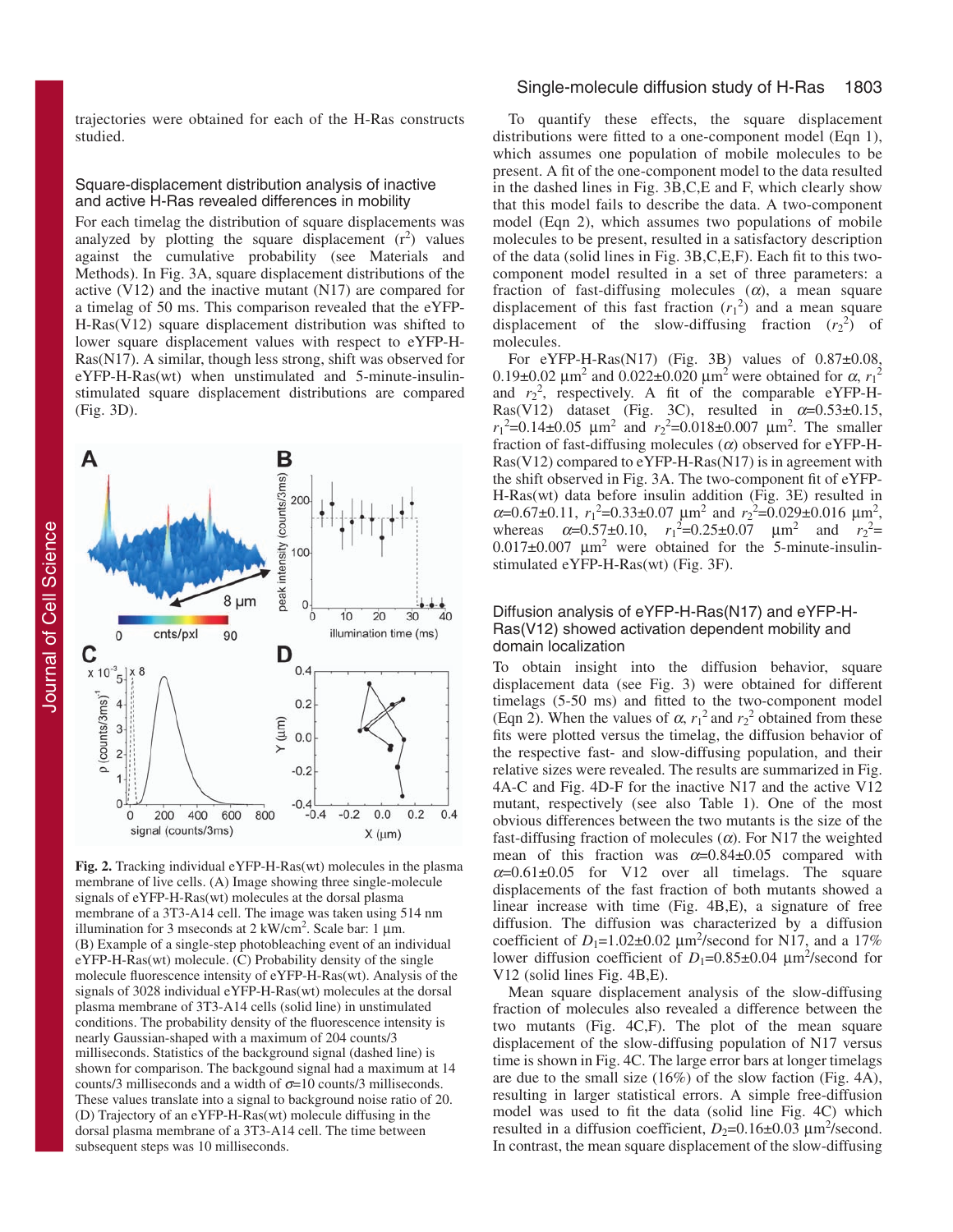trajectories were obtained for each of the H-Ras constructs studied.

#### Square-displacement distribution analysis of inactive and active H-Ras revealed differences in mobility

For each timelag the distribution of square displacements was analyzed by plotting the square displacement  $(r^2)$  values against the cumulative probability (see Materials and Methods). In Fig. 3A, square displacement distributions of the active (V12) and the inactive mutant (N17) are compared for a timelag of 50 ms. This comparison revealed that the eYFP-H-Ras(V12) square displacement distribution was shifted to lower square displacement values with respect to eYFP-H-Ras(N17). A similar, though less strong, shift was observed for eYFP-H-Ras(wt) when unstimulated and 5-minute-insulinstimulated square displacement distributions are compared (Fig. 3D).



**Fig. 2.** Tracking individual eYFP-H-Ras(wt) molecules in the plasma membrane of live cells. (A) Image showing three single-molecule signals of eYFP-H-Ras(wt) molecules at the dorsal plasma membrane of a 3T3-A14 cell. The image was taken using 514 nm illumination for 3 mseconds at  $2 \text{ kW/cm}^2$ . Scale bar: 1 µm. (B) Example of a single-step photobleaching event of an individual eYFP-H-Ras(wt) molecule. (C) Probability density of the single molecule fluorescence intensity of eYFP-H-Ras(wt). Analysis of the signals of 3028 individual eYFP-H-Ras(wt) molecules at the dorsal plasma membrane of 3T3-A14 cells (solid line) in unstimulated conditions. The probability density of the fluorescence intensity is nearly Gaussian-shaped with a maximum of 204 counts/3 milliseconds. Statistics of the background signal (dashed line) is shown for comparison. The backgound signal had a maximum at 14 counts/3 milliseconds and a width of  $\sigma$ =10 counts/3 milliseconds. These values translate into a signal to background noise ratio of 20. (D) Trajectory of an eYFP-H-Ras(wt) molecule diffusing in the dorsal plasma membrane of a 3T3-A14 cell. The time between subsequent steps was 10 milliseconds.

# Single-molecule diffusion study of H-Ras 1803

To quantify these effects, the square displacement distributions were fitted to a one-component model (Eqn 1), which assumes one population of mobile molecules to be present. A fit of the one-component model to the data resulted in the dashed lines in Fig. 3B,C,E and F, which clearly show that this model fails to describe the data. A two-component model (Eqn 2), which assumes two populations of mobile molecules to be present, resulted in a satisfactory description of the data (solid lines in Fig. 3B,C,E,F). Each fit to this twocomponent model resulted in a set of three parameters: a fraction of fast-diffusing molecules  $(\alpha)$ , a mean square displacement of this fast fraction  $(r_1^2)$  and a mean square displacement of the slow-diffusing fraction  $(r_2^2)$  of molecules.

For eYFP-H-Ras(N17) (Fig. 3B) values of  $0.87\pm0.08$ , 0.19±0.02 μm<sup>2</sup> and 0.022±0.020 μm<sup>2</sup> were obtained for α,  $r_1^2$ and  $r_2^2$ , respectively. A fit of the comparable eYFP-H-Ras(V12) dataset (Fig. 3C), resulted in  $\alpha=0.53\pm0.15$ ,  $r_1^2$ =0.14±0.05  $\mu$ m<sup>2</sup> and  $r_2^2$ =0.018±0.007  $\mu$ m<sup>2</sup>. The smaller fraction of fast-diffusing molecules  $(\alpha)$  observed for eYFP-H-Ras(V12) compared to eYFP-H-Ras(N17) is in agreement with the shift observed in Fig. 3A. The two-component fit of eYFP-H-Ras(wt) data before insulin addition (Fig. 3E) resulted in  $\alpha$ =0.67±0.11,  $r_1^2$ =0.33±0.07  $\mu$ m<sup>2</sup> and  $r_2^2$ =0.029±0.016  $\mu$ m<sup>2</sup>, whereas  $\alpha = 0.57 \pm 0.10$ ,  $r_1^2 = 0.25 \pm 0.07$   $\mu$ m<sup>2</sup> and  $r_2^2 =$  $0.017\pm0.007$   $\mu$ m<sup>2</sup> were obtained for the 5-minute-insulinstimulated eYFP-H-Ras(wt) (Fig. 3F).

# Diffusion analysis of eYFP-H-Ras(N17) and eYFP-H-Ras(V12) showed activation dependent mobility and domain localization

To obtain insight into the diffusion behavior, square displacement data (see Fig. 3) were obtained for different timelags (5-50 ms) and fitted to the two-component model (Eqn 2). When the values of  $\alpha$ ,  $r_1^2$  and  $r_2^2$  obtained from these fits were plotted versus the timelag, the diffusion behavior of the respective fast- and slow-diffusing population, and their relative sizes were revealed. The results are summarized in Fig. 4A-C and Fig. 4D-F for the inactive N17 and the active V12 mutant, respectively (see also Table 1). One of the most obvious differences between the two mutants is the size of the fast-diffusing fraction of molecules  $(\alpha)$ . For N17 the weighted mean of this fraction was  $\alpha = 0.84 \pm 0.05$  compared with  $\alpha$ =0.61±0.05 for V12 over all timelags. The square displacements of the fast fraction of both mutants showed a linear increase with time (Fig. 4B,E), a signature of free diffusion. The diffusion was characterized by a diffusion coefficient of  $D_1=1.02\pm0.02 \ \mu \text{m}^2/\text{second}$  for N17, and a 17% lower diffusion coefficient of  $D_1=0.85\pm0.04 \ \mu m^2$ /second for V12 (solid lines Fig. 4B,E).

Mean square displacement analysis of the slow-diffusing fraction of molecules also revealed a difference between the two mutants (Fig. 4C,F). The plot of the mean square displacement of the slow-diffusing population of N17 versus time is shown in Fig. 4C. The large error bars at longer timelags are due to the small size (16%) of the slow faction (Fig. 4A), resulting in larger statistical errors. A simple free-diffusion model was used to fit the data (solid line Fig. 4C) which resulted in a diffusion coefficient,  $D_2=0.16\pm0.03 \ \mu m^2$ /second. In contrast, the mean square displacement of the slow-diffusing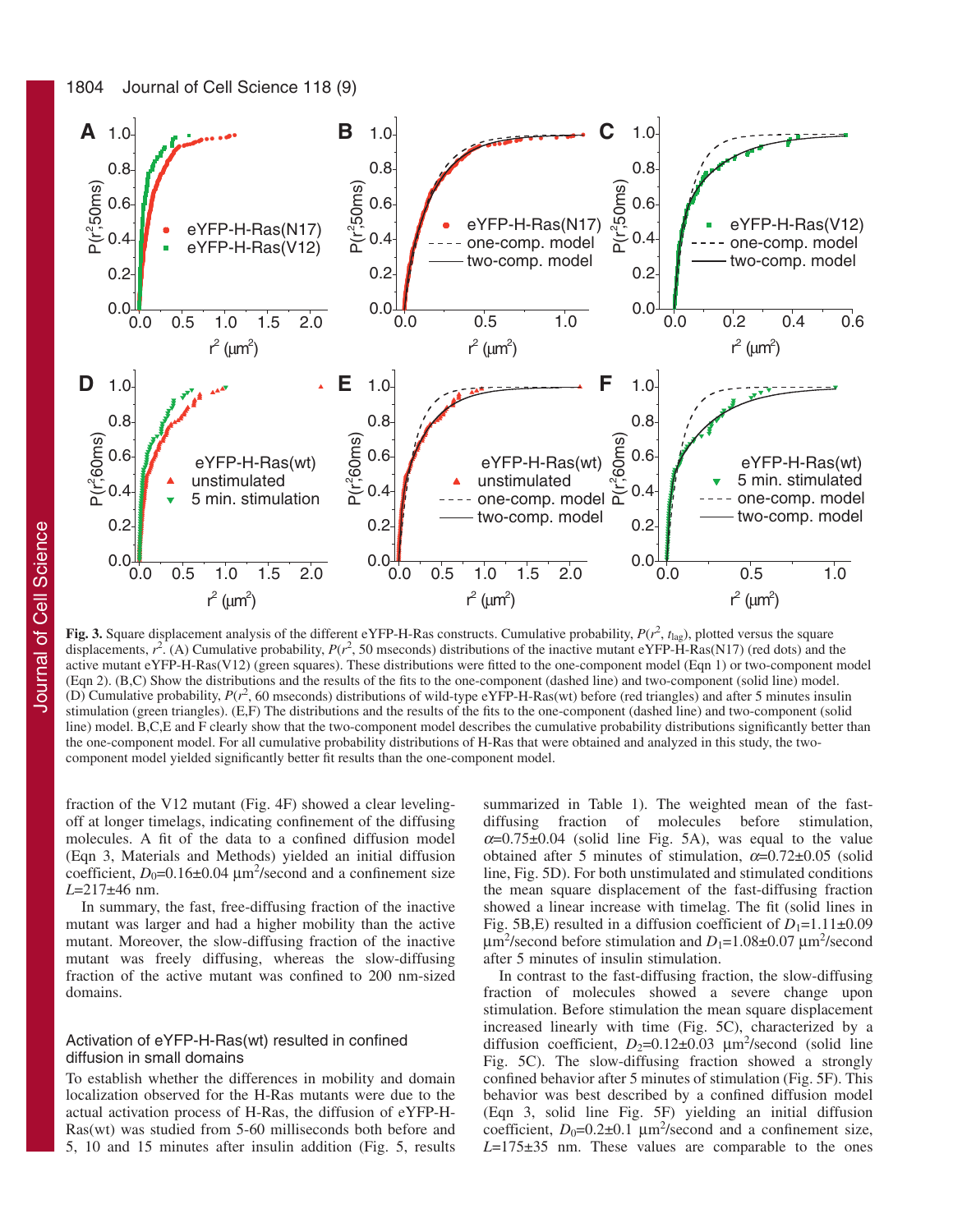

**Fig. 3.** Square displacement analysis of the different eYFP-H-Ras constructs. Cumulative probability,  $P(r^2, t_{\text{lag}})$ , plotted versus the square displacements,  $r^2$ . (A) Cumulative probability,  $P(r^2, 50$  mseconds) distributions of the inactive mutant eYFP-H-Ras(N17) (red dots) and the active mutant eYFP-H-Ras(V12) (green squares). These distributions were fitted to the one-component model (Eqn 1) or two-component model (Eqn 2). (B,C) Show the distributions and the results of the fits to the one-component (dashed line) and two-component (solid line) model. (D) Cumulative probability,  $P(r^2, 60$  mseconds) distributions of wild-type eYFP-H-Ras(wt) before (red triangles) and after 5 minutes insulin stimulation (green triangles). (E,F) The distributions and the results of the fits to the one-component (dashed line) and two-component (solid line) model. B,C,E and F clearly show that the two-component model describes the cumulative probability distributions significantly better than the one-component model. For all cumulative probability distributions of H-Ras that were obtained and analyzed in this study, the twocomponent model yielded significantly better fit results than the one-component model.

fraction of the V12 mutant (Fig. 4F) showed a clear levelingoff at longer timelags, indicating confinement of the diffusing molecules. A fit of the data to a confined diffusion model (Eqn 3, Materials and Methods) yielded an initial diffusion coefficient,  $D_0=0.16\pm0.04 \ \mu m^2$ /second and a confinement size *L*=217±46 nm.

In summary, the fast, free-diffusing fraction of the inactive mutant was larger and had a higher mobility than the active mutant. Moreover, the slow-diffusing fraction of the inactive mutant was freely diffusing, whereas the slow-diffusing fraction of the active mutant was confined to 200 nm-sized domains.

# Activation of eYFP-H-Ras(wt) resulted in confined diffusion in small domains

To establish whether the differences in mobility and domain localization observed for the H-Ras mutants were due to the actual activation process of H-Ras, the diffusion of eYFP-H-Ras(wt) was studied from 5-60 milliseconds both before and 5, 10 and 15 minutes after insulin addition (Fig. 5, results

summarized in Table 1). The weighted mean of the fastdiffusing fraction of molecules before stimulation,  $\alpha$ =0.75±0.04 (solid line Fig. 5A), was equal to the value obtained after 5 minutes of stimulation,  $\alpha = 0.72 \pm 0.05$  (solid line, Fig. 5D). For both unstimulated and stimulated conditions the mean square displacement of the fast-diffusing fraction showed a linear increase with timelag. The fit (solid lines in Fig. 5B,E) resulted in a diffusion coefficient of  $D_1=1.11\pm0.09$  $\mu$ m<sup>2</sup>/second before stimulation and *D*<sub>1</sub>=1.08±0.07  $\mu$ m<sup>2</sup>/second after 5 minutes of insulin stimulation.

In contrast to the fast-diffusing fraction, the slow-diffusing fraction of molecules showed a severe change upon stimulation. Before stimulation the mean square displacement increased linearly with time (Fig. 5C), characterized by a diffusion coefficient,  $D_2=0.12\pm0.03$   $\mu$ m<sup>2</sup>/second (solid line Fig. 5C). The slow-diffusing fraction showed a strongly confined behavior after 5 minutes of stimulation (Fig. 5F). This behavior was best described by a confined diffusion model (Eqn 3, solid line Fig. 5F) yielding an initial diffusion coefficient,  $D_0=0.2\pm0.1$   $\mu$ m<sup>2</sup>/second and a confinement size, *L*=175±35 nm. These values are comparable to the ones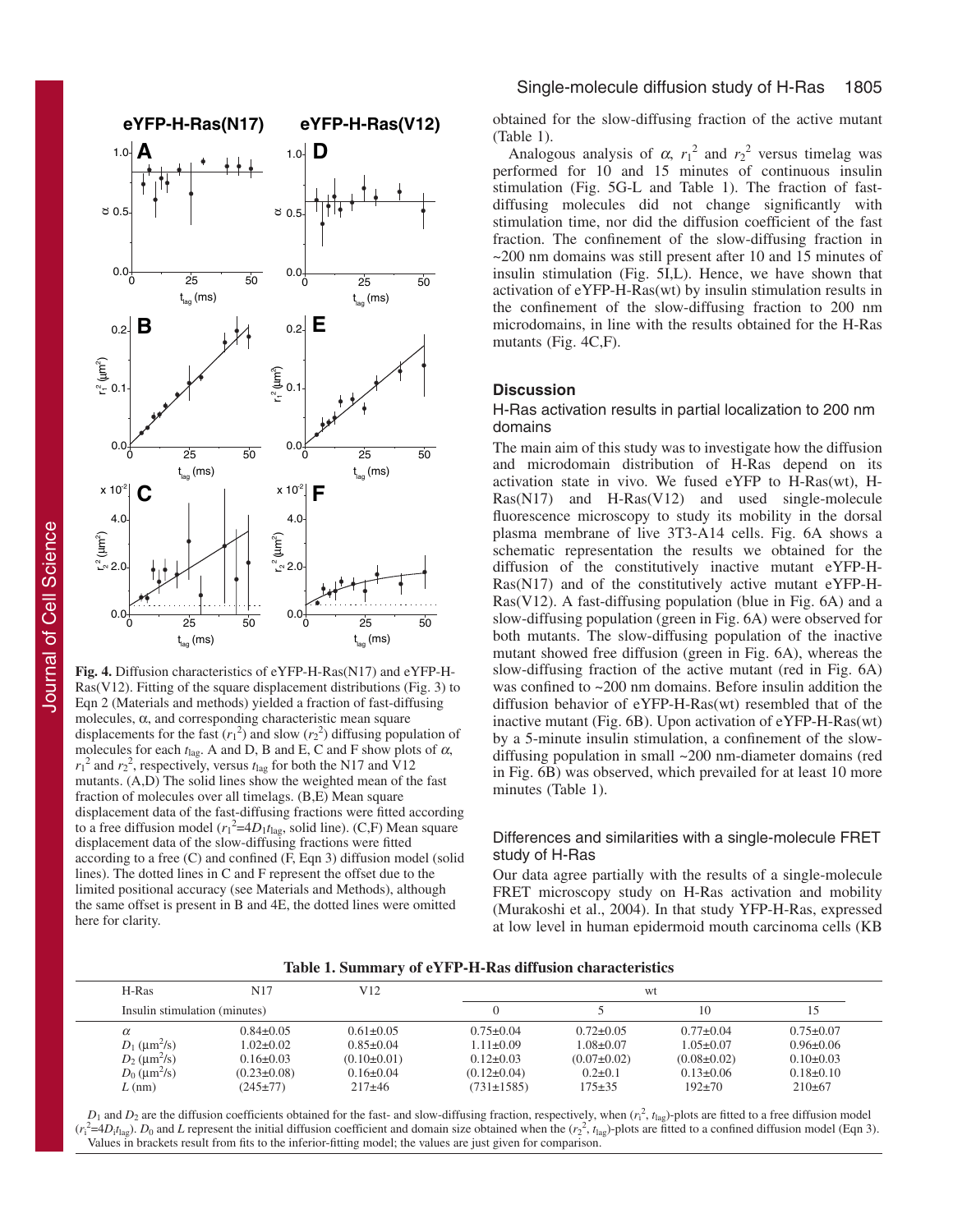

**Fig. 4.** Diffusion characteristics of eYFP-H-Ras(N17) and eYFP-H-Ras(V12). Fitting of the square displacement distributions (Fig. 3) to Eqn 2 (Materials and methods) yielded a fraction of fast-diffusing molecules, α, and corresponding characteristic mean square displacements for the fast  $(r_1^2)$  and slow  $(r_2^2)$  diffusing population of molecules for each  $t_{\text{lag}}$ . A and D, B and E, C and F show plots of  $\alpha$ ,  $r_1^2$  and  $r_2^2$ , respectively, versus  $t_{\text{lag}}$  for both the N17 and V12 mutants.  $(A,D)$  The solid lines show the weighted mean of the fast fraction of molecules over all timelags. (B,E) Mean square displacement data of the fast-diffusing fractions were fitted according to a free diffusion model  $(r_1^2=4D_1t_{\text{lag}})$ , solid line). (C,F) Mean square displacement data of the slow-diffusing fractions were fitted according to a free (C) and confined (F, Eqn 3) diffusion model (solid lines). The dotted lines in C and F represent the offset due to the limited positional accuracy (see Materials and Methods), although the same offset is present in B and 4E, the dotted lines were omitted here for clarity.

obtained for the slow-diffusing fraction of the active mutant (Table 1).

Analogous analysis of  $\alpha$ ,  $r_1^2$  and  $r_2^2$  versus timelag was performed for 10 and 15 minutes of continuous insulin stimulation (Fig. 5G-L and Table 1). The fraction of fastdiffusing molecules did not change significantly with stimulation time, nor did the diffusion coefficient of the fast fraction. The confinement of the slow-diffusing fraction in ~200 nm domains was still present after 10 and 15 minutes of insulin stimulation (Fig. 5I,L). Hence, we have shown that activation of eYFP-H-Ras(wt) by insulin stimulation results in the confinement of the slow-diffusing fraction to 200 nm microdomains, in line with the results obtained for the H-Ras mutants (Fig. 4C,F).

# **Discussion**

## H-Ras activation results in partial localization to 200 nm domains

The main aim of this study was to investigate how the diffusion and microdomain distribution of H-Ras depend on its activation state in vivo. We fused eYFP to H-Ras(wt), H-Ras(N17) and H-Ras(V12) and used single-molecule fluorescence microscopy to study its mobility in the dorsal plasma membrane of live 3T3-A14 cells. Fig. 6A shows a schematic representation the results we obtained for the diffusion of the constitutively inactive mutant eYFP-H-Ras(N17) and of the constitutively active mutant eYFP-H-Ras(V12). A fast-diffusing population (blue in Fig. 6A) and a slow-diffusing population (green in Fig. 6A) were observed for both mutants. The slow-diffusing population of the inactive mutant showed free diffusion (green in Fig. 6A), whereas the slow-diffusing fraction of the active mutant (red in Fig. 6A) was confined to ~200 nm domains. Before insulin addition the diffusion behavior of eYFP-H-Ras(wt) resembled that of the inactive mutant (Fig. 6B). Upon activation of eYFP-H-Ras(wt) by a 5-minute insulin stimulation, a confinement of the slowdiffusing population in small ~200 nm-diameter domains (red in Fig. 6B) was observed, which prevailed for at least 10 more minutes (Table 1).

# Differences and similarities with a single-molecule FRET study of H-Ras

Our data agree partially with the results of a single-molecule FRET microscopy study on H-Ras activation and mobility (Murakoshi et al., 2004). In that study YFP-H-Ras, expressed at low level in human epidermoid mouth carcinoma cells (KB

| Table 1. Summary of eYFP-H-Ras diffusion characteristics |
|----------------------------------------------------------|
|----------------------------------------------------------|

| H-Ras                            | N17               | V12               | wt                |                   |                   |                 |  |
|----------------------------------|-------------------|-------------------|-------------------|-------------------|-------------------|-----------------|--|
| Insulin stimulation (minutes)    |                   |                   |                   |                   | 10                |                 |  |
| $\alpha$                         | $0.84 \pm 0.05$   | $0.61 \pm 0.05$   | $0.75 \pm 0.04$   | $0.72 \pm 0.05$   | $0.77 \pm 0.04$   | $0.75 \pm 0.07$ |  |
| $D_1$ ( $\mu$ m <sup>2</sup> /s) | $1.02 \pm 0.02$   | $0.85 \pm 0.04$   | $1.11 \pm 0.09$   | $1.08 \pm 0.07$   | $1.05 \pm 0.07$   | $0.96 \pm 0.06$ |  |
| $D_2$ ( $\mu$ m <sup>2</sup> /s) | $0.16 \pm 0.03$   | $(0.10 \pm 0.01)$ | $0.12 \pm 0.03$   | $(0.07 \pm 0.02)$ | $(0.08 \pm 0.02)$ | $0.10 \pm 0.03$ |  |
| $D_0$ ( $\mu$ m <sup>2</sup> /s) | $(0.23 \pm 0.08)$ | $0.16 \pm 0.04$   | $(0.12 \pm 0.04)$ | $0.2 \pm 0.1$     | $0.13 \pm 0.06$   | $0.18 \pm 0.10$ |  |
| $L$ (nm)                         | $(245 \pm 77)$    | $217\pm46$        | $(731 \pm 1585)$  | $175 \pm 35$      | $192 \pm 70$      | $210\pm 67$     |  |
|                                  |                   |                   |                   |                   |                   |                 |  |

 $D_1$  and  $D_2$  are the diffusion coefficients obtained for the fast- and slow-diffusing fraction, respectively, when  $(r_1^2, t_{\text{lag}})$ -plots are fitted to a free diffusion model  $(r_1^2=4D_1t_{\text{lag}})$ .  $D_0$  and *L* represent the initial diffusion coefficient and domain size obtained when the  $(r_2^2, t_{\text{lag}})$ -plots are fitted to a confined diffusion model (Eqn 3). Values in brackets result from fits to the inferior-fitting model; the values are just given for comparison.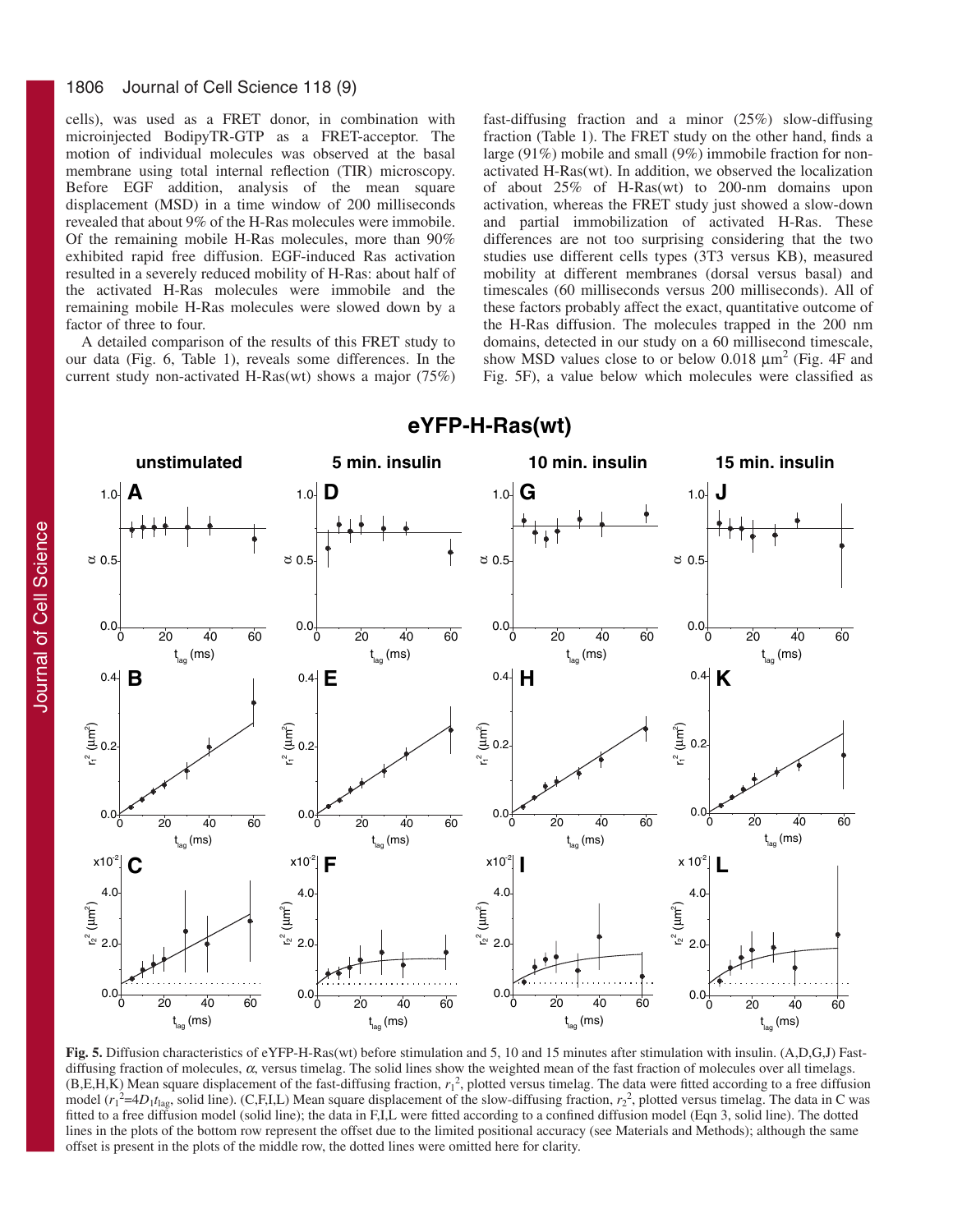#### 1806 Journal of Cell Science 118 (9)

cells), was used as a FRET donor, in combination with microinjected BodipyTR-GTP as a FRET-acceptor. The motion of individual molecules was observed at the basal membrane using total internal reflection (TIR) microscopy. Before EGF addition, analysis of the mean square displacement (MSD) in a time window of 200 milliseconds revealed that about 9% of the H-Ras molecules were immobile. Of the remaining mobile H-Ras molecules, more than 90% exhibited rapid free diffusion. EGF-induced Ras activation resulted in a severely reduced mobility of H-Ras: about half of the activated H-Ras molecules were immobile and the remaining mobile H-Ras molecules were slowed down by a factor of three to four.

A detailed comparison of the results of this FRET study to our data (Fig. 6, Table 1), reveals some differences. In the current study non-activated H-Ras(wt) shows a major (75%) fast-diffusing fraction and a minor (25%) slow-diffusing fraction (Table 1). The FRET study on the other hand, finds a large (91%) mobile and small (9%) immobile fraction for nonactivated H-Ras(wt). In addition, we observed the localization of about 25% of H-Ras(wt) to 200-nm domains upon activation, whereas the FRET study just showed a slow-down and partial immobilization of activated H-Ras. These differences are not too surprising considering that the two studies use different cells types (3T3 versus KB), measured mobility at different membranes (dorsal versus basal) and timescales (60 milliseconds versus 200 milliseconds). All of these factors probably affect the exact, quantitative outcome of the H-Ras diffusion. The molecules trapped in the 200 nm domains, detected in our study on a 60 millisecond timescale, show MSD values close to or below 0.018  $\mu$ m<sup>2</sup> (Fig. 4F and Fig. 5F), a value below which molecules were classified as



# **eYFP-H-Ras(wt)**

**Fig. 5.** Diffusion characteristics of eYFP-H-Ras(wt) before stimulation and 5, 10 and 15 minutes after stimulation with insulin. (A,D,G,J) Fastdiffusing fraction of molecules,  $\alpha$ , versus timelag. The solid lines show the weighted mean of the fast fraction of molecules over all timelags.  $(B, E, H, K)$  Mean square displacement of the fast-diffusing fraction,  $r_1^2$ , plotted versus timelag. The data were fitted according to a free diffusion model  $(r_1^2=4D_1t_{\text{lag}})$ , solid line). (C,F,I,L) Mean square displacement of the slow-diffusing fraction,  $r_2^2$ , plotted versus timelag. The data in C was fitted to a free diffusion model (solid line); the data in F,I,L were fitted according to a confined diffusion model (Eqn 3, solid line). The dotted lines in the plots of the bottom row represent the offset due to the limited positional accuracy (see Materials and Methods); although the same offset is present in the plots of the middle row, the dotted lines were omitted here for clarity.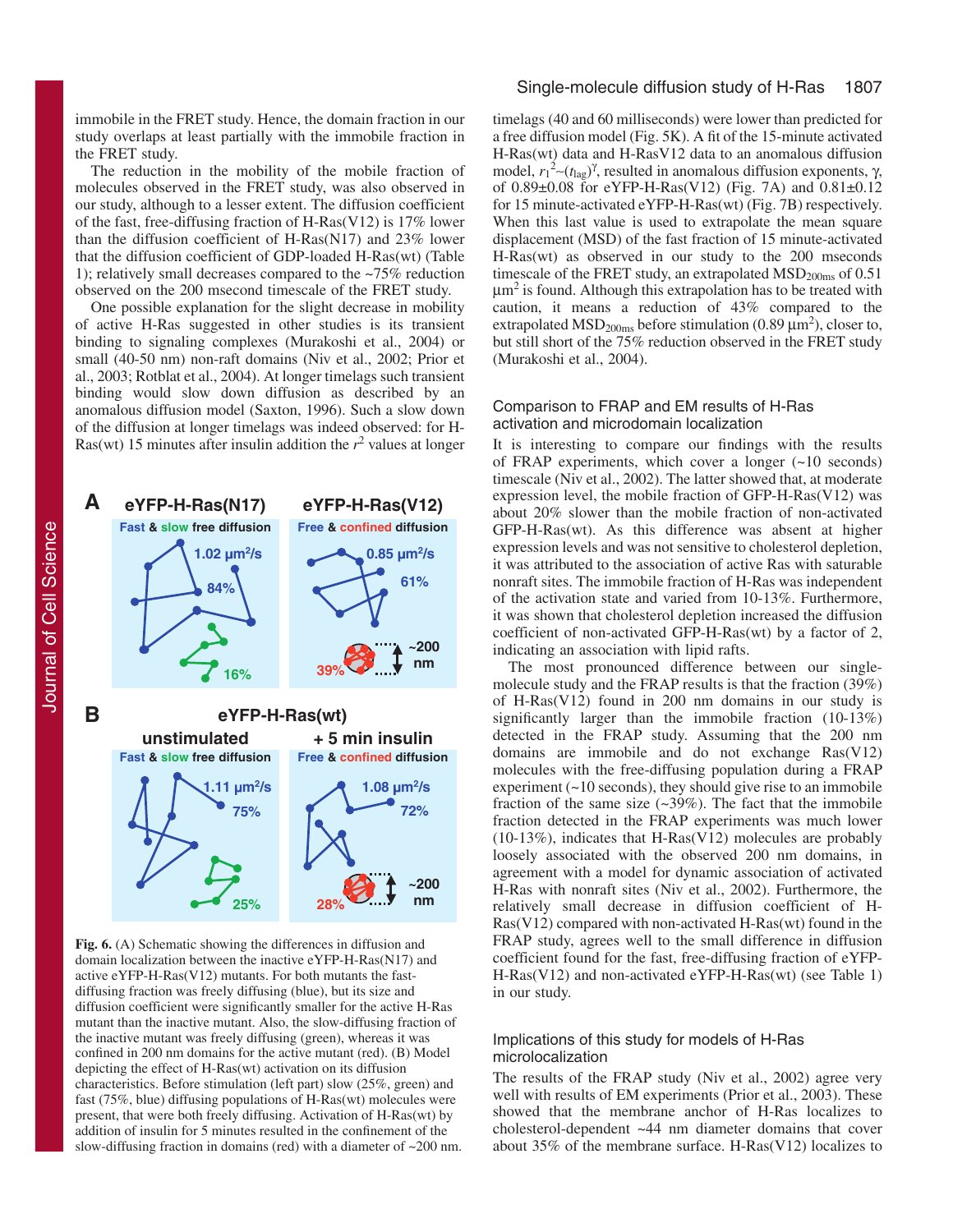immobile in the FRET study. Hence, the domain fraction in our study overlaps at least partially with the immobile fraction in the FRET study.

The reduction in the mobility of the mobile fraction of molecules observed in the FRET study, was also observed in our study, although to a lesser extent. The diffusion coefficient of the fast, free-diffusing fraction of H-Ras(V12) is 17% lower than the diffusion coefficient of H-Ras(N17) and 23% lower that the diffusion coefficient of GDP-loaded H-Ras(wt) (Table 1); relatively small decreases compared to the ~75% reduction observed on the 200 msecond timescale of the FRET study.

One possible explanation for the slight decrease in mobility of active H-Ras suggested in other studies is its transient binding to signaling complexes (Murakoshi et al., 2004) or small (40-50 nm) non-raft domains (Niv et al., 2002; Prior et al., 2003; Rotblat et al., 2004). At longer timelags such transient binding would slow down diffusion as described by an anomalous diffusion model (Saxton, 1996). Such a slow down of the diffusion at longer timelags was indeed observed: for H-Ras(wt) 15 minutes after insulin addition the  $r^2$  values at longer



**Fig. 6.** (A) Schematic showing the differences in diffusion and domain localization between the inactive eYFP-H-Ras(N17) and active eYFP-H-Ras(V12) mutants. For both mutants the fastdiffusing fraction was freely diffusing (blue), but its size and diffusion coefficient were significantly smaller for the active H-Ras mutant than the inactive mutant. Also, the slow-diffusing fraction of the inactive mutant was freely diffusing (green), whereas it was confined in 200 nm domains for the active mutant (red). (B) Model depicting the effect of H-Ras(wt) activation on its diffusion characteristics. Before stimulation (left part) slow (25%, green) and fast (75%, blue) diffusing populations of H-Ras(wt) molecules were present, that were both freely diffusing. Activation of H-Ras(wt) by addition of insulin for 5 minutes resulted in the confinement of the slow-diffusing fraction in domains (red) with a diameter of ~200 nm.

# Single-molecule diffusion study of H-Ras 1807

timelags (40 and 60 milliseconds) were lower than predicted for a free diffusion model (Fig. 5K). A fit of the 15-minute activated H-Ras(wt) data and H-RasV12 data to an anomalous diffusion model,  $r_1^2$ ∼( $t_{\text{lag}}$ )<sup>γ</sup>, resulted in anomalous diffusion exponents, γ, of 0.89±0.08 for eYFP-H-Ras(V12) (Fig. 7A) and 0.81±0.12 for 15 minute-activated eYFP-H-Ras(wt) (Fig. 7B) respectively. When this last value is used to extrapolate the mean square displacement (MSD) of the fast fraction of 15 minute-activated H-Ras(wt) as observed in our study to the 200 mseconds timescale of the FRET study, an extrapolated  $\text{MSD}_{200\text{ms}}$  of 0.51  $\mu$ m<sup>2</sup> is found. Although this extrapolation has to be treated with caution, it means a reduction of 43% compared to the extrapolated MSD<sub>200ms</sub> before stimulation (0.89  $\mu$ m<sup>2</sup>), closer to, but still short of the 75% reduction observed in the FRET study (Murakoshi et al., 2004).

# Comparison to FRAP and EM results of H-Ras activation and microdomain localization

It is interesting to compare our findings with the results of FRAP experiments, which cover a longer (~10 seconds) timescale (Niv et al., 2002). The latter showed that, at moderate expression level, the mobile fraction of GFP-H-Ras(V12) was about 20% slower than the mobile fraction of non-activated GFP-H-Ras(wt). As this difference was absent at higher expression levels and was not sensitive to cholesterol depletion, it was attributed to the association of active Ras with saturable nonraft sites. The immobile fraction of H-Ras was independent of the activation state and varied from 10-13%. Furthermore, it was shown that cholesterol depletion increased the diffusion coefficient of non-activated GFP-H-Ras(wt) by a factor of 2, indicating an association with lipid rafts.

The most pronounced difference between our singlemolecule study and the FRAP results is that the fraction (39%) of H-Ras(V12) found in 200 nm domains in our study is significantly larger than the immobile fraction (10-13%) detected in the FRAP study. Assuming that the 200 nm domains are immobile and do not exchange Ras(V12) molecules with the free-diffusing population during a FRAP experiment  $($   $\sim$  10 seconds), they should give rise to an immobile fraction of the same size  $(\sim 39\%)$ . The fact that the immobile fraction detected in the FRAP experiments was much lower (10-13%), indicates that H-Ras(V12) molecules are probably loosely associated with the observed 200 nm domains, in agreement with a model for dynamic association of activated H-Ras with nonraft sites (Niv et al., 2002). Furthermore, the relatively small decrease in diffusion coefficient of H-Ras(V12) compared with non-activated H-Ras(wt) found in the FRAP study, agrees well to the small difference in diffusion coefficient found for the fast, free-diffusing fraction of eYFP-H-Ras(V12) and non-activated eYFP-H-Ras(wt) (see Table 1) in our study.

# Implications of this study for models of H-Ras microlocalization

The results of the FRAP study (Niv et al., 2002) agree very well with results of EM experiments (Prior et al., 2003). These showed that the membrane anchor of H-Ras localizes to cholesterol-dependent ~44 nm diameter domains that cover about 35% of the membrane surface. H-Ras(V12) localizes to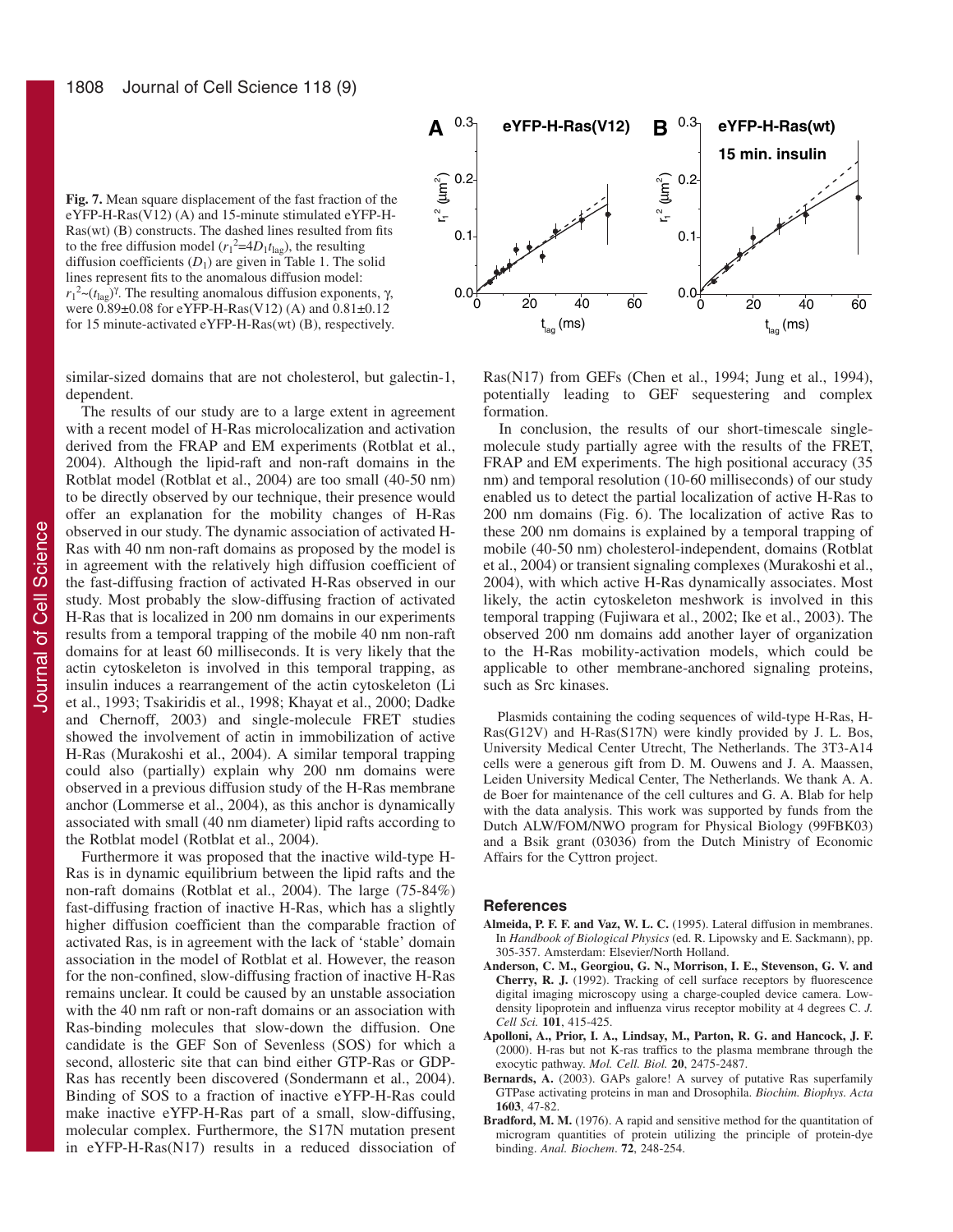**Fig. 7.** Mean square displacement of the fast fraction of the eYFP-H-Ras(V12) (A) and 15-minute stimulated eYFP-H-Ras(wt) (B) constructs. The dashed lines resulted from fits to the free diffusion model  $(r_1^2=4D_1t_{\text{lag}})$ , the resulting diffusion coefficients  $(D_1)$  are given in Table 1. The solid lines represent fits to the anomalous diffusion model:  $r_1^2 \sim (t_{\text{lag}})^{\gamma}$ . The resulting anomalous diffusion exponents, γ, were 0.89±0.08 for eYFP-H-Ras(V12) (A) and 0.81±0.12 for 15 minute-activated eYFP-H-Ras(wt) (B), respectively.

similar-sized domains that are not cholesterol, but galectin-1, dependent.

The results of our study are to a large extent in agreement with a recent model of H-Ras microlocalization and activation derived from the FRAP and EM experiments (Rotblat et al., 2004). Although the lipid-raft and non-raft domains in the Rotblat model (Rotblat et al., 2004) are too small (40-50 nm) to be directly observed by our technique, their presence would offer an explanation for the mobility changes of H-Ras observed in our study. The dynamic association of activated H-Ras with 40 nm non-raft domains as proposed by the model is in agreement with the relatively high diffusion coefficient of the fast-diffusing fraction of activated H-Ras observed in our study. Most probably the slow-diffusing fraction of activated H-Ras that is localized in 200 nm domains in our experiments results from a temporal trapping of the mobile 40 nm non-raft domains for at least 60 milliseconds. It is very likely that the actin cytoskeleton is involved in this temporal trapping, as insulin induces a rearrangement of the actin cytoskeleton (Li et al., 1993; Tsakiridis et al., 1998; Khayat et al., 2000; Dadke and Chernoff, 2003) and single-molecule FRET studies showed the involvement of actin in immobilization of active H-Ras (Murakoshi et al., 2004). A similar temporal trapping could also (partially) explain why 200 nm domains were observed in a previous diffusion study of the H-Ras membrane anchor (Lommerse et al., 2004), as this anchor is dynamically associated with small (40 nm diameter) lipid rafts according to the Rotblat model (Rotblat et al., 2004).

Furthermore it was proposed that the inactive wild-type H-Ras is in dynamic equilibrium between the lipid rafts and the non-raft domains (Rotblat et al., 2004). The large (75-84%) fast-diffusing fraction of inactive H-Ras, which has a slightly higher diffusion coefficient than the comparable fraction of activated Ras, is in agreement with the lack of 'stable' domain association in the model of Rotblat et al. However, the reason for the non-confined, slow-diffusing fraction of inactive H-Ras remains unclear. It could be caused by an unstable association with the 40 nm raft or non-raft domains or an association with Ras-binding molecules that slow-down the diffusion. One candidate is the GEF Son of Sevenless (SOS) for which a second, allosteric site that can bind either GTP-Ras or GDP-Ras has recently been discovered (Sondermann et al., 2004). Binding of SOS to a fraction of inactive eYFP-H-Ras could make inactive eYFP-H-Ras part of a small, slow-diffusing, molecular complex. Furthermore, the S17N mutation present in eYFP-H-Ras(N17) results in a reduced dissociation of



Ras(N17) from GEFs (Chen et al., 1994; Jung et al., 1994), potentially leading to GEF sequestering and complex formation.

In conclusion, the results of our short-timescale singlemolecule study partially agree with the results of the FRET, FRAP and EM experiments. The high positional accuracy (35 nm) and temporal resolution (10-60 milliseconds) of our study enabled us to detect the partial localization of active H-Ras to 200 nm domains (Fig. 6). The localization of active Ras to these 200 nm domains is explained by a temporal trapping of mobile (40-50 nm) cholesterol-independent, domains (Rotblat et al., 2004) or transient signaling complexes (Murakoshi et al., 2004), with which active H-Ras dynamically associates. Most likely, the actin cytoskeleton meshwork is involved in this temporal trapping (Fujiwara et al., 2002; Ike et al., 2003). The observed 200 nm domains add another layer of organization to the H-Ras mobility-activation models, which could be applicable to other membrane-anchored signaling proteins, such as Src kinases.

Plasmids containing the coding sequences of wild-type H-Ras, H-Ras(G12V) and H-Ras(S17N) were kindly provided by J. L. Bos, University Medical Center Utrecht, The Netherlands. The 3T3-A14 cells were a generous gift from D. M. Ouwens and J. A. Maassen, Leiden University Medical Center, The Netherlands. We thank A. A. de Boer for maintenance of the cell cultures and G. A. Blab for help with the data analysis. This work was supported by funds from the Dutch ALW/FOM/NWO program for Physical Biology (99FBK03) and a Bsik grant (03036) from the Dutch Ministry of Economic Affairs for the Cyttron project.

#### **References**

- **Almeida, P. F. F. and Vaz, W. L. C.** (1995). Lateral diffusion in membranes. In *Handbook of Biological Physics* (ed. R. Lipowsky and E. Sackmann), pp. 305-357. Amsterdam: Elsevier/North Holland.
- **Anderson, C. M., Georgiou, G. N., Morrison, I. E., Stevenson, G. V. and Cherry, R. J.** (1992). Tracking of cell surface receptors by fluorescence digital imaging microscopy using a charge-coupled device camera. Lowdensity lipoprotein and influenza virus receptor mobility at 4 degrees C. *J. Cell Sci.* **101**, 415-425.
- **Apolloni, A., Prior, I. A., Lindsay, M., Parton, R. G. and Hancock, J. F.** (2000). H-ras but not K-ras traffics to the plasma membrane through the exocytic pathway. *Mol. Cell. Biol.* **20**, 2475-2487.
- Bernards, A. (2003). GAPs galore! A survey of putative Ras superfamily GTPase activating proteins in man and Drosophila. *Biochim. Biophys. Acta* **1603**, 47-82.
- Bradford, M. M. (1976). A rapid and sensitive method for the quantitation of microgram quantities of protein utilizing the principle of protein-dye binding. *Anal. Biochem*. **72**, 248-254.